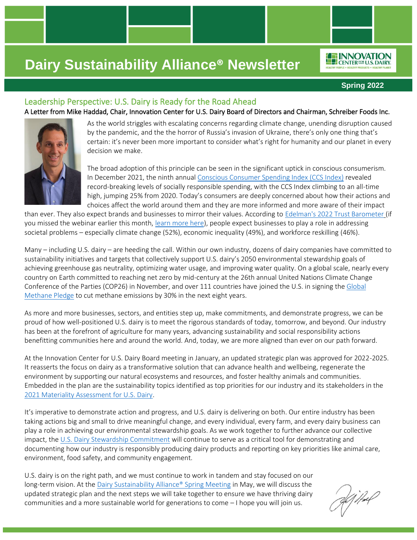

**Spring 2022**

### Leadership Perspective: U.S. Dairy is Ready for the Road Ahead

A Letter from Mike Haddad, Chair, Innovation Center for U.S. Dairy Board of Directors and Chairman, Schreiber Foods Inc.



As the world striggles with escalating concerns regarding climate change, unending disruption caused by the pandemic, and the the horror of Russia's invasion of Ukraine, there's only one thing that's certain: it's never been more important to consider what's right for humanity and our planet in every decision we make.

The broad adoption of this principle can be seen in the significant uptick in conscious consumerism. In December 2021, the ninth annual [Conscious Consumer Spending Index \(CCS Index\)](https://goodmustgrow.com/ccsi) revealed record-breaking levels of socially responsible spending, with the CCS Index climbing to an all-time high, jumping 25% from 2020. Today's consumers are deeply concerned about how their actions and choices affect the world around them and they are more informed and more aware of their impact

than ever. They also expect brands and businesses to mirror their values. According to [Edelman's 2022 Trust Barometer](https://www.edelman.com/trust/2022-trust-barometer) (if you missed the webinar earlier this month, [learn more here\)](https://vimeo.com/685507350/e98b983d48), people expect businesses to play a role in addressing societal problems – especially climate change (52%), economic inequality (49%), and workforce reskilling (46%).

Many – including U.S. dairy – are heeding the call. Within our own industry, dozens of dairy companies have committed to sustainability initiatives and targets that collectively support U.S. dairy's 2050 environmental stewardship goals of achieving greenhouse gas neutrality, optimizing water usage, and improving water quality. On a global scale, nearly every country on Earth committed to reaching net zero by mid-century at the 26th annual United Nations Climate Change Conference of the Parties (COP26) in November, and over 111 countries have joined the U.S. in signing the [Global](https://www.globalmethanepledge.org/)  [Methane Pledge](https://www.globalmethanepledge.org/) to cut methane emissions by 30% in the next eight years.

As more and more businesses, sectors, and entities step up, make commitments, and demonstrate progress, we can be proud of how well-positioned U.S. dairy is to meet the rigorous standards of today, tomorrow, and beyond. Our industry has been at the forefront of agriculture for many years, advancing sustainability and social responsibility actions benefitting communities here and around the world. And, today, we are more aligned than ever on our path forward.

At the Innovation Center for U.S. Dairy Board meeting in January, an updated strategic plan was approved for 2022-2025. It reasserts the focus on dairy as a transformative solution that can advance health and wellbeing, regenerate the environment by supporting our natural ecosystems and resources, and foster healthy animals and communities. Embedded in the plan are the sustainability topics identified as top priorities for our industry and its stakeholders in the [2021 Materiality Assessment for U.S. Dairy.](https://www.usdairy.com/getmedia/401760f2-2982-48ff-826a-e445799b947b/Materiality-Assessment-For-USDairy.pdf?ext=.pdf)

It's imperative to demonstrate action and progress, and U.S. dairy is delivering on both. Our entire industry has been taking actions big and small to drive meaningful change, and every individual, every farm, and every dairy business can play a role in achieving our environmental stewardship goals. As we work together to further advance our collective impact, th[e U.S. Dairy Stewardship Commitment](http://www.usdairy.com/commitment) will continue to serve as a critical tool for demonstrating and documenting how our industry is responsibly producing dairy products and reporting on key priorities like animal care, environment, food safety, and community engagement.

U.S. dairy is on the right path, and we must continue to work in tandem and stay focused on our long-term vision. At th[e Dairy Sustainability Alliance® Spring Meeting](http://alliancemeeting.usdairy.com/) in May, we will discuss the updated strategic plan and the next steps we will take together to ensure we have thriving dairy communities and a more sustainable world for generations to come – I hope you will join us.

iffel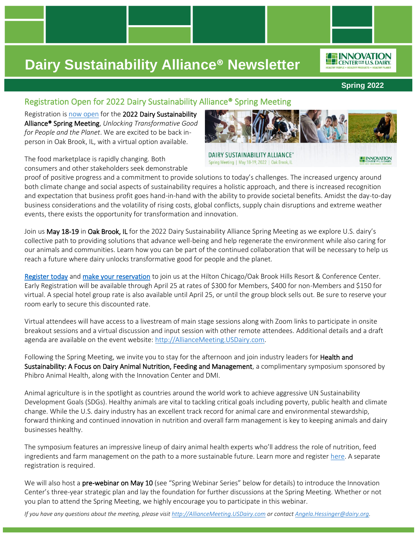

**Spring 2022**

**ENNOVATION** 

### Registration Open for 2022 Dairy Sustainability Alliance® Spring Meeting

Registration is [now open](http://2022alliancespringmeeting.eventbrite.com/) for the 2022 Dairy Sustainability Alliance® Spring Meeting, *Unlocking Transformative Good for People and the Planet*. We are excited to be back inperson in Oak Brook, IL, with a virtual option available.

The food marketplace is rapidly changing. Both consumers and other stakeholders seek demonstrable

proof of positive progress and a commitment to provide solutions to today's challenges. The increased urgency around both climate change and social aspects of sustainability requires a holistic approach, and there is increased recognition and expectation that business profit goes hand-in-hand with the ability to provide societal benefits. Amidst the day-to-day business considerations and the volatility of rising costs, global conflicts, supply chain disruptions and extreme weather events, there exists the opportunity for transformation and innovation.

Join us May 18-19 in Oak Brook, IL for the 2022 Dairy Sustainability Alliance Spring Meeting as we explore U.S. dairy's collective path to providing solutions that advance well-being and help regenerate the environment while also caring for our animals and communities. Learn how you can be part of the continued collaboration that will be necessary to help us reach a future where dairy unlocks transformative good for people and the planet.

[Register today](http://2022alliancespringmeeting.eventbrite.com/) and [make your reservation](https://www.hilton.com/en/attend-my-event/chibhhh-dairym-aeb1b214-68b5-4a89-b0c4-f67233c572a1/?WT.mc_id=POG) to join us at the Hilton Chicago/Oak Brook Hills Resort & Conference Center. Early Registration will be available through April 25 at rates of \$300 for Members, \$400 for non-Members and \$150 for virtual. A special hotel group rate is also available until April 25, or until the group block sells out. Be sure to reserve your room early to secure this discounted rate.

Virtual attendees will have access to a livestream of main stage sessions along with Zoom links to participate in onsite breakout sessions and a virtual discussion and input session with other remote attendees. Additional details and a draft agenda are available on the event website[: http://AllianceMeeting.USDairy.com.](http://alliancemeeting.usdairy.com/)

Following the Spring Meeting, we invite you to stay for the afternoon and join industry leaders for **Health and** Sustainability: A Focus on Dairy Animal Nutrition, Feeding and Management, a complimentary symposium sponsored by Phibro Animal Health, along with the Innovation Center and DMI.

Animal agriculture is in the spotlight as countries around the world work to achieve aggressive UN Sustainability Development Goals (SDGs). Healthy animals are vital to tackling critical goals including poverty, public health and climate change. While the U.S. dairy industry has an excellent track record for animal care and environmental stewardship, forward thinking and continued innovation in nutrition and overall farm management is key to keeping animals and dairy businesses healthy.

The symposium features an impressive lineup of dairy animal health experts who'll address the role of nutrition, feed ingredients and farm management on the path to a more sustainable future. Learn more and register [here.](https://www.pahc.com/dairy-sym/) A separate registration is required.

We will also host a pre-webinar on May 10 (see "Spring Webinar Series" below for details) to introduce the Innovation Center's three-year strategic plan and lay the foundation for further discussions at the Spring Meeting. Whether or not you plan to attend the Spring Meeting, we highly encourage you to participate in this webinar.

*If you have any questions about the meeting, please visi[t http://AllianceMeeting.USDairy.com](http://alliancemeeting.usdairy.com/) or contac[t Angela.Hessinger@dairy.org.](mailto:Angela.Hessinger@dairy.org)*



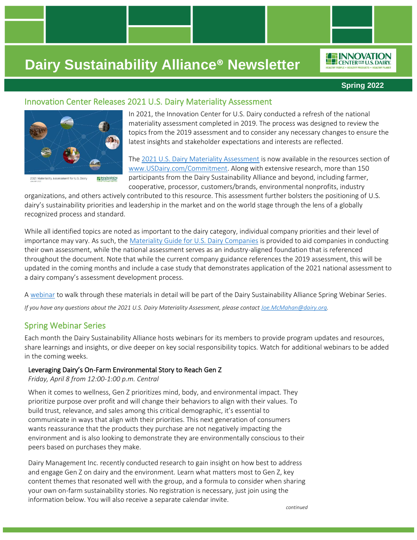

**INNOVATION** CENTER<sup>FOR</sup> U.S. DAIRY

### Innovation Center Releases 2021 U.S. Dairy Materiality Assessment



2021 Materiality Assessment for U.S. Dairy **INNOVATION** 

In 2021, the Innovation Center for U.S. Dairy conducted a refresh of the national materiality assessment completed in 2019. The process was designed to review the topics from the 2019 assessment and to consider any necessary changes to ensure the latest insights and stakeholder expectations and interests are reflected.

The [2021 U.S. Dairy Materiality Assessment](https://www.usdairy.com/getmedia/401760f2-2982-48ff-826a-e445799b947b/Materiality-Assessment-For-USDairy.pdf?ext=.pdf) is now available in the resources section of [www.USDairy.com/Commitment.](http://www.usdairy.com/Commitment) Along with extensive research, more than 150 participants from the Dairy Sustainability Alliance and beyond, including farmer, cooperative, processor, customers/brands, environmental nonprofits, industry

organizations, and others actively contributed to this resource. This assessment further bolsters the positioning of U.S. dairy's sustainability priorities and leadership in the market and on the world stage through the lens of a globally recognized process and standard.

While all identified topics are noted as important to the dairy category, individual company priorities and their level of importance may vary. As such, the [Materiality Guide for U.S. Dairy Companies](https://www.usdairy.com/getmedia/a6dc02f6-4207-467e-949f-d5b3bb935d09/Materiality-Guide-for-U-S-Dairy-Companies.pdf?ext=.pdf) is provided to aid companies in conducting their own assessment, while the national assessment serves as an industry-aligned foundation that is referenced throughout the document. Note that while the current company guidance references the 2019 assessment, this will be updated in the coming months and include a case study that demonstrates application of the 2021 national assessment to a dairy company's assessment development process.

[A webinar](https://dairy.zoom.us/webinar/register/WN_vvpc5w3RSjGyV5y7K2Ww-g) to walk through these materials in detail will be part of the Dairy Sustainability Alliance Spring Webinar Series.

*If you have any questions about the 2021 U.S. Dairy Materiality Assessment, please contact [Joe.McMahan@dairy.org.](mailto:Joe.McMahan@dairy.org)*

### Spring Webinar Series

Each month the Dairy Sustainability Alliance hosts webinars for its members to provide program updates and resources, share learnings and insights, or dive deeper on key social responsibility topics. Watch for additional webinars to be added in the coming weeks.

#### Leveraging Dairy's On-Farm Environmental Story to Reach Gen Z

*Friday, April 8 from 12:00-1:00 p.m. Central* 

When it comes to wellness, Gen Z prioritizes mind, body, and environmental impact. They prioritize purpose over profit and will change their behaviors to align with their values. To build trust, relevance, and sales among this critical demographic, it's essential to communicate in ways that align with their priorities. This next generation of consumers wants reassurance that the products they purchase are not negatively impacting the environment and is also looking to demonstrate they are environmentally conscious to their peers based on purchases they make.

Dairy Management Inc. recently conducted research to gain insight on how best to address and engage Gen Z on dairy and the environment. Learn what matters most to Gen Z, key content themes that resonated well with the group, and a formula to consider when sharing your own on-farm sustainability stories. No registration is necessary, just join using the information below. You will also receive a separate calendar invite.

*continued*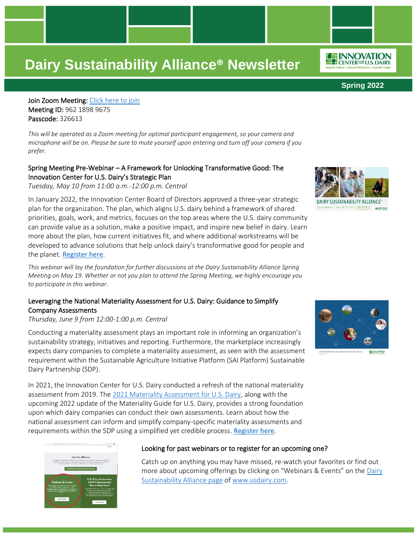**Spring 2022**

*IO***F INNOVATION** CENTER<sup>FOR</sup> U.S. DAIRY

Join Zoom Meeting: [Click here to join](https://dairy.zoom.us/j/96218989675?pwd=UzFrWjZGY3FoL21DenZPNWYwdEIvZz09) Meeting ID: 962 1898 9675 Passcode: 326613

*This will be operated as a Zoom meeting for optimal participant engagement, so your camera and microphone will be on. Please be sure to mute yourself upon entering and turn off your camera if you prefer.* 

#### Spring Meeting Pre-Webinar – A Framework for Unlocking Transformative Good: The Innovation Center for U.S. Dairy's Strategic Plan

*Tuesday, May 10 from 11:00 a.m.-12:00 p.m. Central*

In January 2022, the Innovation Center Board of Directors approved a three-year strategic plan for the organization. The plan, which aligns U.S. dairy behind a framework of shared priorities, goals, work, and metrics, focuses on the top areas where the U.S. dairy community can provide value as a solution, make a positive impact, and inspire new belief in dairy. Learn more about the plan, how current initiatives fit, and where additional workstreams will be developed to advance solutions that help unlock dairy's transformative good for people and the planet. [Register here](https://dairy.zoom.us/webinar/register/WN_SOj3o6SdT_WL5xW8t4RdXw).

*This webinar will lay the foundation for further discussions at the Dairy Sustainability Alliance Spring Meeting on May 19. Whether or not you plan to attend the Spring Meeting, we highly encourage you to participate in this webinar.*

#### Leveraging the National Materiality Assessment for U.S. Dairy: Guidance to Simplify Company Assessments

*Thursday, June 9 from 12:00-1:00 p.m. Central*

Conducting a materiality assessment plays an important role in informing an organization's sustainability strategy, initiatives and reporting. Furthermore, the marketplace increasingly expects dairy companies to complete a materiality assessment, as seen with the assessment requirement within the Sustainable Agriculture Initiative Platform (SAI Platform) Sustainable Dairy Partnership (SDP).

In 2021, the Innovation Center for U.S. Dairy conducted a refresh of the national materiality assessment from 2019. The [2021 Materiality Assessment for U.S. Dairy,](https://www.usdairy.com/getmedia/401760f2-2982-48ff-826a-e445799b947b/Materiality-Assessment-For-USDairy.pdf?ext=.pdf) along with the upcoming 2022 update of the Materiality Guide for U.S. Dairy, provides a strong foundation upon which dairy companies can conduct their own assessments. Learn about how the national assessment can inform and simplify company-specific materiality assessments and requirements within the SDP using a simplified yet credible process. [Register here](https://dairy.zoom.us/webinar/register/WN_vvpc5w3RSjGyV5y7K2Ww-g).



#### Looking for past webinars or to register for an upcoming one?

Catch up on anything you may have missed, re-watch your favorites or find out more about upcoming offerings by clicking on "Webinars & Events" on the [Dairy](http://www.usdairy.com/sustainabilityalliance)  [Sustainability Alliance page](http://www.usdairy.com/sustainabilityalliance) of [www.usdairy.com.](http://www.usdairy.com/)



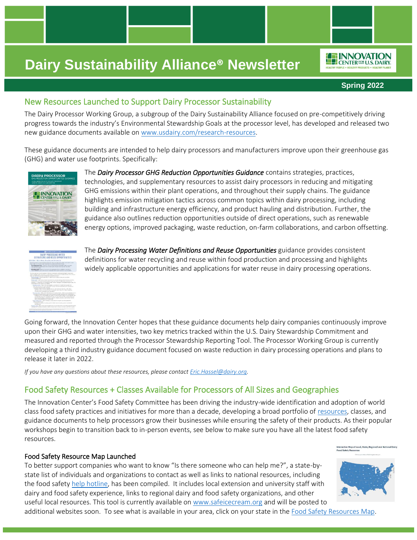#### **Spring 2022**

*IO***F INNOVATION** CENTER<sup>FOR</sup> U.S. DAIRY

### New Resources Launched to Support Dairy Processor Sustainability

The Dairy Processor Working Group, a subgroup of the Dairy Sustainability Alliance focused on pre-competitively driving progress towards the industry's Environmental Stewardship Goals at the processor level, has developed and released two new guidance documents available on [www.usdairy.com/research-resources.](http://www.usdairy.com/research-resources)

These guidance documents are intended to help dairy processors and manufacturers improve upon their greenhouse gas (GHG) and water use footprints. Specifically:



The *Dairy Processor GHG Reduction Opportunities Guidance* contains strategies, practices, technologies, and supplementary resources to assist dairy processors in reducing and mitigating GHG emissions within their plant operations, and throughout their supply chains. The guidance highlights emission mitigation tactics across common topics within dairy processing, including building and infrastructure energy efficiency, and product hauling and distribution. Further, the guidance also outlines reduction opportunities outside of direct operations, such as renewable energy options, improved packaging, waste reduction, on-farm collaborations, and carbon offsetting.

The *Dairy Processing Water Definitions and Reuse Opportunities* guidance provides consistent definitions for water recycling and reuse within food production and processing and highlights widely applicable opportunities and applications for water reuse in dairy processing operations.

Going forward, the Innovation Center hopes that these guidance documents help dairy companies continuously improve upon their GHG and water intensities, two key metrics tracked within the U.S. Dairy Stewardship Commitment and measured and reported through the Processor Stewardship Reporting Tool. The Processor Working Group is currently developing a third industry guidance document focused on waste reduction in dairy processing operations and plans to release it later in 2022.

*If you have any questions about these resources, please contact [Eric.Hassel@dairy.org.](mailto:Eric.Hassel@dairy.org)* 

### Food Safety Resources + Classes Available for Processors of All Sizes and Geographies

The Innovation Center's Food Safety Committee has been driving the industry-wide identification and adoption of world class food safety practices and initiatives for more than a decade, developing a broad portfolio of [resources,](https://www.usdairy.com/getmedia/3be14a94-514e-4573-8ce8-08629b8693b7/Food-Safety-Resources-2021.pdf) classes, and guidance documents to help processors grow their businesses while ensuring the safety of their products. As their popular workshops begin to transition back to in-person events, see below to make sure you have all the latest food safety resources.

#### Food Safety Resource Map Launched

To better support companies who want to know "Is there someone who can help me?", a state-bystate list of individuals and organizations to contact as well as links to national resources, including the food safety [help hotline,](mailto:Dairyfoodsafetycoach@cornell.edu) has been compiled. It includes local extension and university staff with dairy and food safety experience, links to regional dairy and food safety organizations, and other useful local resources. This tool is currently available o[n www.safeicecream.org](https://www.idfa.org/safeicecream) and will be posted to

additional websites soon. To see what is available in your area, click on your state in the [Food Safety Resources Map.](https://www.idfa.org/safeicecream/food-safety-map/)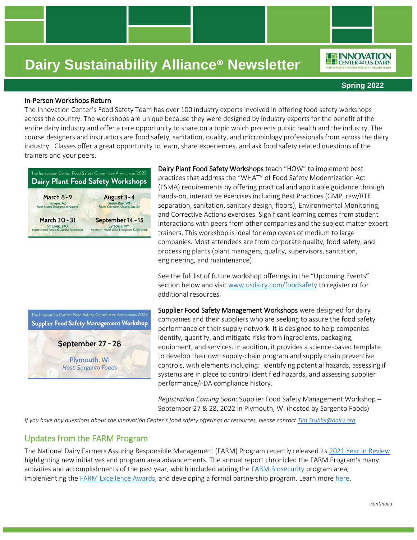#### **Spring 2022**

**ION INNOVATION LEP CENTER FOR U.S. DAIRY** 

#### In-Person Workshops Return

The Innovation Center's Food Safety Team has over 100 industry experts involved in offering food safety workshops across the country. The workshops are unique because they were designed by industry experts for the benefit of the entire dairy industry and offer a rare opportunity to share on a topic which protects public health and the industry. The course designers and instructors are food safety, sanitation, quality, and microbiology professionals from across the dairy industry. Classes offer a great opportunity to learn, share experiences, and ask food safety related questions of the trainers and your peers.



Supplier Food Safety Management Workshop

September 27 - 28

Plymouth, WI Host: Sargento Foods

Dairy Plant Food Safety Workshops teach "HOW" to implement best practices that address the "WHAT" of Food Safety Modernization Act (FSMA) requirements by offering practical and applicable guidance through hands-on, interactive exercises including Best Practices (GMP, raw/RTE separation, sanitation, sanitary design, floors), Environmental Monitoring, and Corrective Actions exercises. Significant learning comes from student interactions with peers from other companies and the subject matter expert trainers. This workshop is ideal for employees of medium to large companies. Most attendees are from corporate quality, food safety, and processing plants (plant managers, quality, supervisors, sanitation, engineering, and maintenance).

See the full list of future workshop offerings in the "Upcoming Events" section below and visit [www.usdairy.com/foodsafety](http://www.usdairy.com/foodsafety) to register or for additional resources.

Supplier Food Safety Management Workshops were designed for dairy companies and their suppliers who are seeking to assure the food safety performance of their supply network. It is designed to help companies identify, quantify, and mitigate risks from ingredients, packaging, equipment, and services. In addition, it provides a science-based template to develop their own supply-chain program and supply chain preventive controls, with elements including: identifying potential hazards, assessing if systems are in place to control identified hazards, and assessing supplier performance/FDA compliance history.

*Registration Coming Soon:* Supplier Food Safety Management Workshop – September 27 & 28, 2022 in Plymouth, WI (hosted by Sargento Foods)

*If you have any questions about the Innovation Center's food safety offerings or resources, please contact <i>[Tim.Stubbs@dairy.org.](mailto:Tim.Stubbs@dairy.org)* 

#### Updates from the FARM Program

The National Dairy Farmers Assuring Responsible Management (FARM) Program recently released its [2021 Year in Review](https://nationaldairyfarm.com/year-in-review/) highlighting new initiatives and program area advancements. The annual report chronicled the FARM Program's many activities and accomplishments of the past year, which included adding the [FARM Biosecurity](https://nationaldairyfarm.com/wp-content/uploads/2022/01/FARM_YIR_2021_v11_web_clickable_pages.pdf) program area, implementing the [FARM Excellence Awards,](https://nationaldairyfarm.com/farm-excellence-awards/) and developing a formal partnership program. Learn mor[e here.](https://nationaldairyfarm.com/news_post/year-in-review-spotlights-farm-programs-growth/)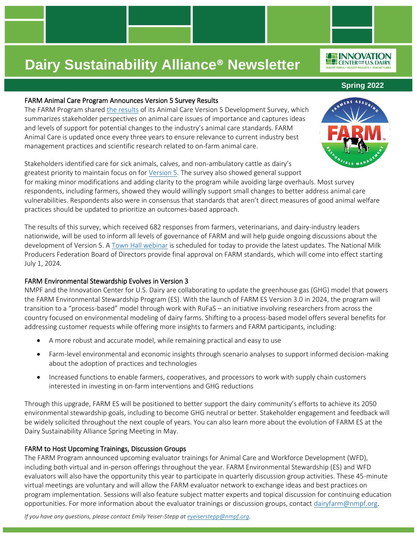#### FARM Animal Care Program Announces Version 5 Survey Results

The FARM Program shared [the results](https://nationaldairyfarm.com/wp-content/uploads/2022/02/FARM_Animal-Care_Version-5_Survey-Report_012622.pdf) of its Animal Care Version 5 Development Survey, which summarizes stakeholder perspectives on animal care issues of importance and captures ideas and levels of support for potential changes to the industry's animal care standards. FARM Animal Care is updated once every three years to ensure relevance to current industry best management practices and scientific research related to on-farm animal care.

Stakeholders identified care for sick animals, calves, and non-ambulatory cattle as dairy's greatest priority to maintain focus on for [Version](https://nationaldairyfarm.com/farm-animal-care-version-5-development/) 5. The survey also showed general support for making minor modifications and adding clarity to the program while avoiding large overhauls. Most survey respondents, including farmers, showed they would willingly support small changes to better address animal care vulnerabilities. Respondents also were in consensus that standards that aren't direct measures of good animal welfare practices should be updated to prioritize an outcomes-based approach.

The results of this survey, which received 682 responses from farmers, veterinarians, and dairy-industry leaders nationwide, will be used to inform all levels of governance of FARM and will help guide ongoing discussions about the development of Version 5. A [Town Hall webinar](https://us02web.zoom.us/webinar/register/WN_J6bEQ5oxQKu0_QDKznRVhg) is scheduled for today to provide the latest updates. The National Milk Producers Federation Board of Directors provide final approval on FARM standards, which will come into effect starting July 1, 2024.

#### FARM Environmental Stewardship Evolves in Version 3

NMPF and the Innovation Center for U.S. Dairy are collaborating to update the greenhouse gas (GHG) model that powers the FARM Environmental Stewardship Program (ES). With the launch of FARM ES Version 3.0 in 2024, the program will transition to a "process-based" model through work with RuFaS – an initiative involving researchers from across the country focused on environmental modeling of dairy farms. Shifting to a process-based model offers several benefits for addressing customer requests while offering more insights to farmers and FARM participants, including:

- A more robust and accurate model, while remaining practical and easy to use
- Farm-level environmental and economic insights through scenario analyses to support informed decision-making about the adoption of practices and technologies
- Increased functions to enable farmers, cooperatives, and processors to work with supply chain customers interested in investing in on-farm interventions and GHG reductions

Through this upgrade, FARM ES will be positioned to better support the dairy community's efforts to achieve its 2050 environmental stewardship goals, including to become GHG neutral or better. Stakeholder engagement and feedback will be widely solicited throughout the next couple of years. You can also learn more about the evolution of FARM ES at the Dairy Sustainability Alliance Spring Meeting in May.

#### FARM to Host Upcoming Trainings, Discussion Groups

The FARM Program announced upcoming evaluator trainings for Animal Care and Workforce Development (WFD), including both virtual and in-person offerings throughout the year. FARM Environmental Stewardship (ES) and WFD evaluators will also have the opportunity this year to participate in quarterly discussion group activities. These 45-minute virtual meetings are voluntary and will allow the FARM evaluator network to exchange ideas and best practices on program implementation. Sessions will also feature subject matter experts and topical discussion for continuing education opportunities. For more information about the evaluator trainings or discussion groups, contact [dairyfarm@nmpf.org.](mailto:dairyfarm@nmpf.org)

*If you have any questions, please contact Emily Yeiser-Stepp at [eyeiserstepp@nmpf.org.](mailto:eyeiserstepp@nmpf.org)*

**Spring 2022**



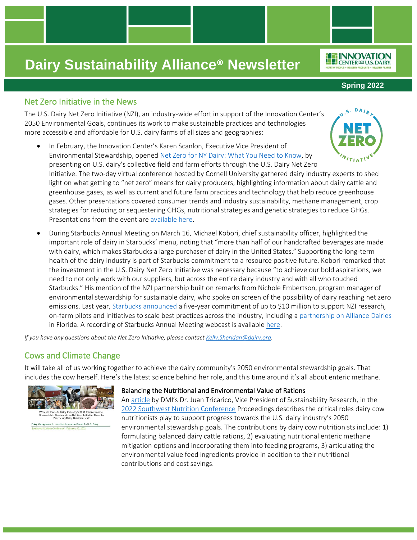### Net Zero Initiative in the News

The U.S. Dairy Net Zero Initiative (NZI), an industry-wide effort in support of the Innovation Center's 2050 Environmental Goals, continues its work to make sustainable practices and technologies more accessible and affordable for U.S. dairy farms of all sizes and geographies:

- In February, the Innovation Center's Karen Scanlon, Executive Vice President of Environmental Stewardship, opened [Net Zero for NY Dairy: What You Need to Know,](https://cals.cornell.edu/net-zero-dairy-conference) by presenting on U.S. dairy's collective field and farm efforts through the U.S. Dairy Net Zero Initiative. The two-day virtual conference hosted by Cornell University gathered dairy industry experts to shed light on what getting to "net zero" means for dairy producers, highlighting information about dairy cattle and greenhouse gases, as well as current and future farm practices and technology that help reduce greenhouse gases. Other presentations covered consumer trends and industry sustainability, methane management, crop strategies for reducing or sequestering GHGs, nutritional strategies and genetic strategies to reduce GHGs. Presentations from the event are [available here.](https://www.youtube.com/channel/UCtQgnHQLbN40hif0V1oIjDA/videos)
- During Starbucks Annual Meeting on March 16, Michael Kobori, chief sustainability officer, highlighted the important role of dairy in Starbucks' menu, noting that "more than half of our handcrafted beverages are made with dairy, which makes Starbucks a large purchaser of dairy in the United States." Supporting the long-term health of the dairy industry is part of Starbucks commitment to a resource positive future. Kobori remarked that the investment in the U.S. Dairy Net Zero Initiative was necessary because "to achieve our bold aspirations, we need to not only work with our suppliers, but across the entire dairy industry and with all who touched Starbucks." His mention of the NZI partnership built on remarks from Nichole Embertson, program manager of environmental stewardship for sustainable dairy, who spoke on screen of the possibility of dairy reaching net zero emissions. Last year, [Starbucks announced](https://stories.starbucks.com/stories/2020/starbucks-solidifies-pathway-to-a-planet-positive-future/) a five-year commitment of up to \$10 million to support NZI research, on-farm pilots and initiatives to scale best practices across the industry, including a [partnership on Alliance Dairies](https://stories.starbucks.com/stories/2021/starbucks-journey-to-sustainable-dairy/) in Florida. A recording of Starbucks Annual Meeting webcast is available [here.](https://central.virtualshareholdermeeting.com/vsm/web?pvskey=SBUX2022)

*If you have any questions about the Net Zero Initiative, please contact [Kelly.Sheridan@dairy.org.](mailto:Kelly.Sheridan@dairy.org)* 

### Cows and Climate Change

It will take all of us working together to achieve the dairy community's 2050 environmental stewardship goals. That includes the cow herself. Here's the latest science behind her role, and this time around it's all about enteric methane.



#### Balancing the Nutritional and Environmental Value of Rations

A[n article](https://nam12.safelinks.protection.outlook.com/?url=https%3A%2F%2Fwww.linkedin.com%2Fposts%2Fjuan-tricarico_dairy-nutritionists-and-2050-environmental-activity-6910330191647043584-HtY3%3Futm_source%3Dlinkedin_share%26utm_medium%3Dmember_desktop_web&data=04%7C01%7Cangela.hessinger%40dairy.org%7Cc23d8eb4170a4dd4c8a708da086497c9%7C4a5c3ca3613143b194be00fe342a7c7c%7C0%7C0%7C637831525439394125%7CUnknown%7CTWFpbGZsb3d8eyJWIjoiMC4wLjAwMDAiLCJQIjoiV2luMzIiLCJBTiI6Ik1haWwiLCJXVCI6Mn0%3D%7C3000&sdata=XlrCYnns63kqCZzWmMviRgR3WwWKh7B2rnHMjNCva88%3D&reserved=0) by DMI's Dr. Juan Tricarico, Vice President of Sustainability Research, in the [2022 Southwest Nutrition Conference](https://sw-nc.com/sw-nutrition-conference/) Proceedings describes the critical roles dairy cow nutritionists play to support progress towards the U.S. dairy industry's 2050 environmental stewardship goals. The contributions by dairy cow nutritionists include: 1) formulating balanced dairy cattle rations, 2) evaluating nutritional enteric methane mitigation options and incorporating them into feeding programs, 3) articulating the environmental value feed ingredients provide in addition to their nutritional contributions and cost savings.



*ILE INNOVATION* **LEP** CENTER<sup>FOR</sup> U.S. DAIRY

**Spring 2022**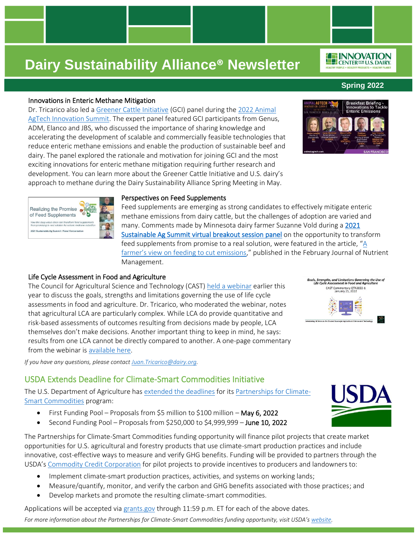#### Innovations in Enteric Methane Mitigation

Dr. Tricarico also led a [Greener Cattle Initiative](https://foundationfar.org/consortia/greener-cattle-initiative/) (GCI) panel during th[e 2022 Animal](https://animalagtech.com/program/)  [AgTech Innovation Summit.](https://animalagtech.com/program/) The expert panel featured GCI participants from Genus, ADM, Elanco and JBS, who discussed the importance of sharing knowledge and accelerating the development of scalable and commercially feasible technologies that reduce enteric methane emissions and enable the production of sustainable beef and dairy. The panel explored the rationale and motivation for joining GCI and the most exciting innovations for enteric methane mitigation requiring further research and development. You can learn more about the Greener Cattle Initiative and U.S. dairy's approach to methane during the Dairy Sustainability Alliance Spring Meeting in May.

#### Perspectives on Feed Supplements

Feed supplements are emerging as strong candidates to effectively mitigate enteric methane emissions from dairy cattle, but the challenges of adoption are varied and many. Comments made by Minnesota dairy farmer Suzanne Vold during [a 2021](https://vimeo.com/694527973/e295d17e6e)  [Sustainable Ag Summit virtual breakout session panel](https://vimeo.com/694527973/e295d17e6e) on the opportunity to transform feed supplements from promise to a real solution, were featured in the article, "[A](https://nam12.safelinks.protection.outlook.com/?url=https%3A%2F%2Fjofnm.com%2Farticle-194-A-farmer%27s-view-on-feeding-to-cut-emissions.html&data=04%7C01%7Cangela.hessinger%40dairy.org%7Cc23d8eb4170a4dd4c8a708da086497c9%7C4a5c3ca3613143b194be00fe342a7c7c%7C0%7C0%7C637831525439394125%7CUnknown%7CTWFpbGZsb3d8eyJWIjoiMC4wLjAwMDAiLCJQIjoiV2luMzIiLCJBTiI6Ik1haWwiLCJXVCI6Mn0%3D%7C3000&sdata=wIia7UKB9Lqi57FzphughR8AFEMvRHrVKZbtxH%2FjWf0%3D&reserved=0)  [farmer's view on feeding to cut emissions,](https://nam12.safelinks.protection.outlook.com/?url=https%3A%2F%2Fjofnm.com%2Farticle-194-A-farmer%27s-view-on-feeding-to-cut-emissions.html&data=04%7C01%7Cangela.hessinger%40dairy.org%7Cc23d8eb4170a4dd4c8a708da086497c9%7C4a5c3ca3613143b194be00fe342a7c7c%7C0%7C0%7C637831525439394125%7CUnknown%7CTWFpbGZsb3d8eyJWIjoiMC4wLjAwMDAiLCJQIjoiV2luMzIiLCJBTiI6Ik1haWwiLCJXVCI6Mn0%3D%7C3000&sdata=wIia7UKB9Lqi57FzphughR8AFEMvRHrVKZbtxH%2FjWf0%3D&reserved=0)" published in the February Journal of Nutrient Management.

#### Life Cycle Assessment in Food and Agriculture

Realizing the Promise of Feed Supplements How the dairy value chain can transform fe<br>from promising to real solution for entenic m 2021 Sustainable Ag Summit / Panel Conv

The Council for Agricultural Science and Technology (CAST) [held a webinar](https://www.cast-science.org/publication/goals-strengths-and-limitations-governing-the-use-of-life-cycle-assessment-lca-in-food-and-agriculture/) earlier this year to discuss the goals, strengths and limitations governing the use of life cycle assessments in food and agriculture. Dr. Tricarico, who moderated the webinar, notes that agricultural LCA are particularly complex. While LCA do provide quantitative and risk-based assessments of outcomes resulting from decisions made by people, LCA themselves don't make decisions. Another important thing to keep in mind, he says: results from one LCA cannot be directly compared to another. A one-page commentary from the webinar is [available here.](https://www.cast-science.org/wp-content/uploads/2022/01/LCA-in-Ag-quickCAST.pdf)

*If you have any questions, please contac[t Juan.Tricarico@dairy.org.](mailto:Juan.Tricarico@dairy.org)*

## USDA Extends Deadline for Climate-Smart Commodities Initiative

The U.S. Department of Agriculture ha[s extended the deadlines](https://www.nrcs.usda.gov/wps/portal/nrcs/detail/national/newsroom/releases/?cid=NRCSEPRD1898239) for its [Partnerships for Climate-](https://www.usda.gov/climate-solutions/climate-smart-commodities)[Smart Commodities](https://www.usda.gov/climate-solutions/climate-smart-commodities) program:

- First Funding Pool Proposals from \$5 million to \$100 million May 6, 2022
- Second Funding Pool Proposals from \$250,000 to \$4,999,999 June 10, 2022

The Partnerships for Climate-Smart Commodities funding opportunity will finance pilot projects that create market opportunities for U.S. agricultural and forestry products that use climate-smart production practices and include innovative, cost-effective ways to measure and verify GHG benefits. Funding will be provided to partners through the USDA's [Commodity Credit Corporation](https://www.usda.gov/ccc) for pilot projects to provide incentives to producers and landowners to:

- Implement climate-smart production practices, activities, and systems on working lands;
- Measure/quantify, monitor, and verify the carbon and GHG benefits associated with those practices; and
- Develop markets and promote the resulting climate-smart commodities.

Applications will be accepted vi[a grants.gov](https://www.grants.gov/) through 11:59 p.m. ET for each of the above dates.

*For more information about the Partnerships for Climate-Smart Commodities funding opportunity, visit USDA's [website.](https://www.usda.gov/climate-solutions/climate-smart-commodities)*





Goals, Strengths, and Limitations Governing the Use of<br>Life Cycle Assessment in Food and Agriculture CAST Commentary QTA2022-1



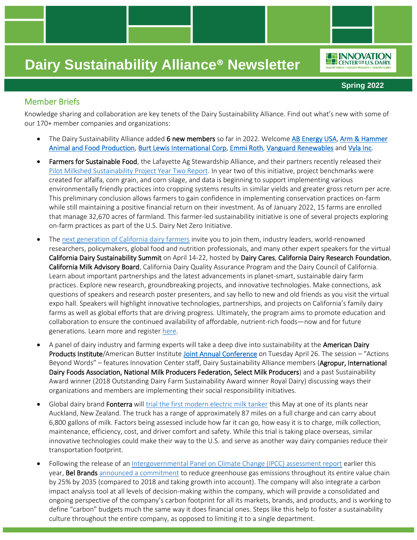#### **Spring 2022**

**INNOVATION** CENTER<sup>FOR</sup> U.S. DAIRY

### Member Briefs

Knowledge sharing and collaboration are key tenets of the Dairy Sustainability Alliance. Find out what's new with some of our 170+ member companies and organizations:

- The Dairy Sustainability Alliance added 6 new members so far in 2022. Welcom[e AB Energy USA,](https://us.bioch4nge.com/) Arm & Hammer [Animal and Food Production,](https://ahfoodchain.com/) [Burt Lewis International Corp,](https://www.burtlewisingredients.com/) [Emmi Roth,](https://www.emmiroth.com/) [Vanguard Renewables](https://www.vanguardrenewables.com/) and [Vyla Inc.](https://vyla.com/)
- Farmers for Sustainable Food, the Lafayette Ag Stewardship Alliance, and their partners recently released their [Pilot Milkshed Sustainability Project Year Two Report.](https://farmersforsustainablefood.com/wp-content/uploads/2022/03/LASA-Year-2-Report-Final-Deliverable-20220315.pdf) In year two of this initiative, project benchmarks were created for alfalfa, corn grain, and corn silage, and data is beginning to support implementing various environmentally friendly practices into cropping systems results in similar yields and greater gross return per acre. This preliminary conclusion allows farmers to gain confidence in implementing conservation practices on-farm while still maintaining a positive financial return on their investment. As of January 2022, 15 farms are enrolled that manage 32,670 acres of farmland. This farmer-led sustainability initiative is one of several projects exploring on-farm practices as part of the U.S. Dairy Net Zero Initiative.
- The [next generation of California dairy farmers](https://www.youtube.com/watch?v=wLFoWdzsy1A) invite you to join them, industry leaders, world-renowned researchers, policymakers, global food and nutrition professionals, and many other expert speakers for the virtual California Dairy Sustainability Summit on April 14-22, hosted by Dairy Cares, California Dairy Research Foundation, California Milk Advisory Board, California Dairy Quality Assurance Program and the Dairy Council of California. Learn about important partnerships and the latest advancements in planet-smart, sustainable dairy farm practices. Explore new research, groundbreaking projects, and innovative technologies. Make connections, ask questions of speakers and research poster presenters, and say hello to new and old friends as you visit the virtual expo hall. Speakers will highlight innovative technologies, partnerships, and projects on California's family dairy farms as well as global efforts that are driving progress. Ultimately, the program aims to promote education and collaboration to ensure the continued availability of affordable, nutrient-rich foods—now and for future generations. Learn more and registe[r here.](https://www.cadairysummit.com/)
- A panel of dairy industry and farming experts will take a deep dive into sustainability at the American Dairy Products Institute/American Butter Institut[e Joint Annual Conference](https://nam12.safelinks.protection.outlook.com/?url=https%3A%2F%2Fwww.eventsquid.com%2Fevent.cfm%3Fid%3D15491&data=04%7C01%7Cangela.hessinger%40dairy.org%7C23c05985804142dcd60008da13338dd3%7C4a5c3ca3613143b194be00fe342a7c7c%7C0%7C0%7C637843409385485538%7CUnknown%7CTWFpbGZsb3d8eyJWIjoiMC4wLjAwMDAiLCJQIjoiV2luMzIiLCJBTiI6Ik1haWwiLCJXVCI6Mn0%3D%7C3000&sdata=TvPdsliMbCgrXr1kEAGFJjVvZsWXMR1qQK4i9dFZg5o%3D&reserved=0) on Tuesday April 26. The session – "Actions Beyond Words" – features Innovation Center staff, Dairy Sustainability Alliance members (Agropur, International Dairy Foods Association, National Milk Producers Federation, Select Milk Producers) and a past Sustainability Award winner (2018 Outstanding Dairy Farm Sustainability Award winner Royal Dairy) discussing ways their organizations and members are implementing their social responsibility initiatives.
- Global dairy brand Fonterra will [trial the first modern electric milk tanker](https://www.thenews.coop/160729/sector/agriculture/fonterra-trials-first-modern-electric-milk-tanker/) this May at one of its plants near Auckland, New Zealand. The truck has a range of approximately 87 miles on a full charge and can carry about 6,800 gallons of milk. Factors being assessed include how far it can go, how easy it is to charge, milk collection, maintenance, efficiency, cost, and driver comfort and safety. While this trial is taking place overseas, similar innovative technologies could make their way to the U.S. and serve as another way dairy companies reduce their transportation footprint.
- Following the release of a[n Intergovernmental Panel on Climate Change \(IPCC\) assessment report](https://www.ipcc.ch/2022/02/28/pr-wgii-ar6/) earlier this year, Bel Brands [announced a commitment](https://www.dairyreporter.com/Article/2022/02/14/bel-announces-carbon-reduction-commitment?utm_source=newsletter_daily&utm_medium=email&utm_campaign=14-Feb-2022&cid=DM993430&bid=1846038088) to reduce greenhouse gas emissions throughout its entire value chain by 25% by 2035 (compared to 2018 and taking growth into account). The company will also integrate a carbon impact analysis tool at all levels of decision-making within the company, which will provide a consolidated and ongoing perspective of the company's carbon footprint for all its markets, brands, and products, and is working to define "carbon" budgets much the same way it does financial ones. Steps like this help to foster a sustainability culture throughout the entire company, as opposed to limiting it to a single department.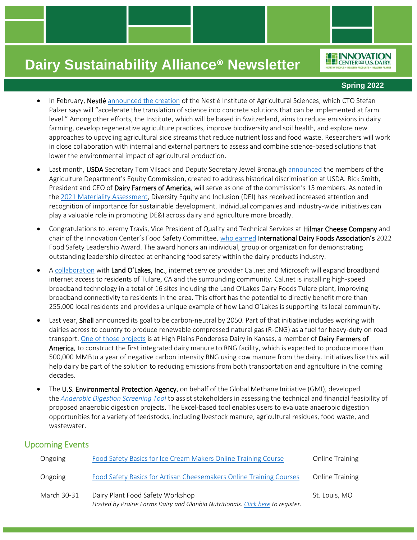### **Spring 2022**

**FEINNOVATION** CENTER<sup>FOR</sup> U.S. DAIRY

- In February, Nestlé [announced the creation](https://www.foodnavigator-usa.com/Article/2022/02/09/nestle-creates-ag-research-institute-we-want-to-bring-the-most-promising-approaches-and-solutions-to-farmers) of the Nestlé Institute of Agricultural Sciences, which CTO Stefan Palzer says will "accelerate the translation of science into concrete solutions that can be implemented at farm level." Among other efforts, the Institute, which will be based in Switzerland, aims to reduce emissions in dairy farming, develop regenerative agriculture practices, improve biodiversity and soil health, and explore new approaches to upcycling agricultural side streams that reduce nutrient loss and food waste. Researchers will work in close collaboration with internal and external partners to assess and combine science-based solutions that lower the environmental impact of agricultural production.
- Last month, USDA Secretary Tom Vilsack and Deputy Secretary Jewel Bronaugh [announced](https://madmimi.com/p/8fc1831?pact=2545782-166577332-11785209361-bb0c8d77a43bdbc9fe2ee63921503e6bc23d0449#vilsack__bronaugh_to_announce_members_of_usda_equity_commission) the members of the Agriculture Department's Equity Commission, created to address historical discrimination at USDA. Rick Smith, President and CEO of Dairy Farmers of America, will serve as one of the commission's 15 members. As noted in the [2021 Materiality Assessment,](https://www.usdairy.com/getmedia/401760f2-2982-48ff-826a-e445799b947b/Materiality-Assessment-For-USDairy.pdf?ext=.pdf) Diversity Equity and Inclusion (DEI) has received increased attention and recognition of importance for sustainable development. Individual companies and industry-wide initiatives can play a valuable role in promoting DE&I across dairy and agriculture more broadly.
- Congratulations to Jeremy Travis, Vice President of Quality and Technical Services at Hilmar Cheese Company and chair of the Innovation Center's Food Safety Committee, [who earned](https://www.idfa.org/news/jeremy-travis-vice-president-of-quality-technical-services-at-hilmar-cheese-company-inc-receives-idfas-2022-food-safety-leadership-award/) International Dairy Foods Association's 2022 Food Safety Leadership Award. The award honors an individual, group or organization for demonstrating outstanding leadership directed at enhancing food safety within the dairy products industry.
- [A collaboration](https://www.landolakesinc.com/Press/News/Tulare-broadband) with Land O'Lakes, Inc., internet service provider Cal.net and Microsoft will expand broadband internet access to residents of Tulare, CA and the surrounding community. Cal.net is installing high-speed broadband technology in a total of 16 sites including the Land O'Lakes Dairy Foods Tulare plant, improving broadband connectivity to residents in the area. This effort has the potential to directly benefit more than 255,000 local residents and provides a unique example of how Land O'Lakes is supporting its local community.
- Last year, Shell announced its goal to be carbon-neutral by 2050. Part of that initiative includes working with dairies across to country to produce renewable compressed natural gas (R-CNG) as a fuel for heavy-duty on road transport[. One of those projects](https://www.nmpf.org/focus/high-plains-ponderosa/) is at High Plains Ponderosa Dairy in Kansas, a member of Dairy Farmers of America, to construct the first integrated dairy manure to RNG facility, which is expected to produce more than 500,000 MMBtu a year of negative carbon intensity RNG using cow manure from the dairy. Initiatives like this will help dairy be part of the solution to reducing emissions from both transportation and agriculture in the coming decades.
- The U.S. Environmental Protection Agency, on behalf of the Global Methane Initiative (GMI), developed the *[Anaerobic Digestion Screening Tool](https://www.globalmethane.org/resources/details.aspx?resourceid=5170)* to assist stakeholders in assessing the technical and financial feasibility of proposed anaerobic digestion projects. The Excel-based tool enables users to evaluate anaerobic digestion opportunities for a variety of feedstocks, including livestock manure, agricultural residues, food waste, and wastewater.

### Upcoming Events

| Ongoing     | Food Safety Basics for Ice Cream Makers Online Training Course                                                      | <b>Online Training</b> |
|-------------|---------------------------------------------------------------------------------------------------------------------|------------------------|
| Ongoing     | Food Safety Basics for Artisan Cheesemakers Online Training Courses                                                 | <b>Online Training</b> |
| March 30-31 | Dairy Plant Food Safety Workshop<br>Hosted by Prairie Farms Dairy and Glanbia Nutritionals. Click here to register. | St. Louis, MO          |